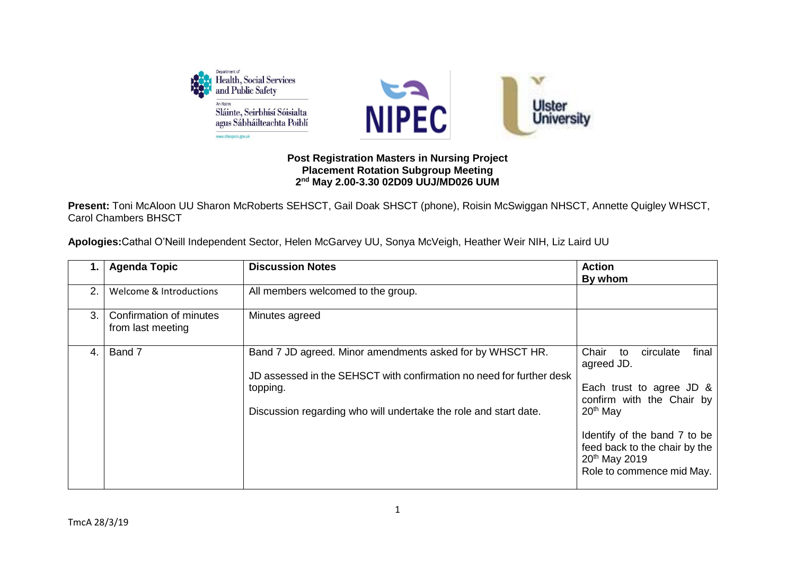

## **Post Registration Masters in Nursing Project Placement Rotation Subgroup Meeting 2 nd May 2.00-3.30 02D09 UUJ/MD026 UUM**

**Present:** Toni McAloon UU Sharon McRoberts SEHSCT, Gail Doak SHSCT (phone), Roisin McSwiggan NHSCT, Annette Quigley WHSCT, Carol Chambers BHSCT

| Apologies: Cathal O'Neill Independent Sector, Helen McGarvey UU, Sonya McVeigh, Heather Weir NIH, Liz Laird UU |  |  |  |
|----------------------------------------------------------------------------------------------------------------|--|--|--|
|----------------------------------------------------------------------------------------------------------------|--|--|--|

| 1. l | <b>Agenda Topic</b>                          | <b>Discussion Notes</b>                                                                                                                                                                                           | <b>Action</b><br>By whom                                                                                                                                                                                                                                    |
|------|----------------------------------------------|-------------------------------------------------------------------------------------------------------------------------------------------------------------------------------------------------------------------|-------------------------------------------------------------------------------------------------------------------------------------------------------------------------------------------------------------------------------------------------------------|
| 2.   | Welcome & Introductions                      | All members welcomed to the group.                                                                                                                                                                                |                                                                                                                                                                                                                                                             |
| 3.   | Confirmation of minutes<br>from last meeting | Minutes agreed                                                                                                                                                                                                    |                                                                                                                                                                                                                                                             |
| 4.   | Band 7                                       | Band 7 JD agreed. Minor amendments asked for by WHSCT HR.<br>JD assessed in the SEHSCT with confirmation no need for further desk<br>topping.<br>Discussion regarding who will undertake the role and start date. | final<br>Chair<br>circulate<br>to<br>agreed JD.<br>Each trust to agree JD &<br>confirm with the Chair by<br>20 <sup>th</sup> May<br>Identify of the band 7 to be<br>feed back to the chair by the<br>20 <sup>th</sup> May 2019<br>Role to commence mid May. |